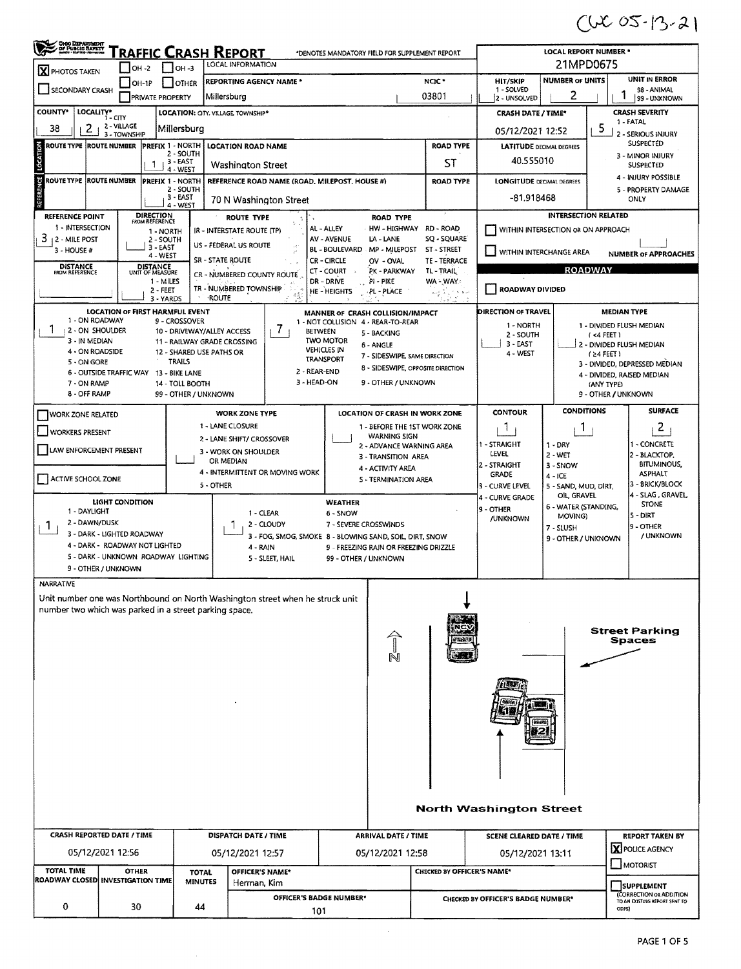$(4005 - 13 - 2)$ 

| OHIO DEPARTMENT<br><u>RAFFIC CRASH REPORT</u><br><b>LOCAL REPORT NUMBER *</b><br>*DENOTES MANDATORY FIELD FOR SUPPLEMENT REPORT                   |                                                                                                                                              |                                           |                                                           |                                |                                                                |                                                                              |                                                                                                                                      |                                     |                                                             |                                                                |                                      |  |  |
|---------------------------------------------------------------------------------------------------------------------------------------------------|----------------------------------------------------------------------------------------------------------------------------------------------|-------------------------------------------|-----------------------------------------------------------|--------------------------------|----------------------------------------------------------------|------------------------------------------------------------------------------|--------------------------------------------------------------------------------------------------------------------------------------|-------------------------------------|-------------------------------------------------------------|----------------------------------------------------------------|--------------------------------------|--|--|
| X PHOTOS TAKEN                                                                                                                                    | $IOH -2$                                                                                                                                     | он -з                                     | LOCAL INFORMATION                                         |                                |                                                                |                                                                              | 21MPD0675                                                                                                                            |                                     |                                                             |                                                                |                                      |  |  |
|                                                                                                                                                   | OH-1P                                                                                                                                        | <b>DITHER</b>                             | <b>REPORTING AGENCY NAME*</b>                             |                                |                                                                | NCIC <sup>*</sup>                                                            | <b>NUMBER OF UNITS</b>                                                                                                               | <b>UNIT IN ERROR</b><br>98 - ANIMAL |                                                             |                                                                |                                      |  |  |
| SECONDARY CRASH                                                                                                                                   | <b>PRIVATE PROPERTY</b>                                                                                                                      |                                           | Millersburg                                               |                                |                                                                |                                                                              | 03801                                                                                                                                | 1 - SOLVED<br>2 - UNSOLVED          | 2                                                           |                                                                | 99 - UNKNOWN                         |  |  |
| COUNTY*                                                                                                                                           | LOCALITY* CITY                                                                                                                               |                                           | LOCATION: CITY. VILLAGE TOWNSHIP*                         |                                |                                                                |                                                                              |                                                                                                                                      | <b>CRASH DATE / TIME*</b>           |                                                             | <b>CRASH SEVERITY</b><br>1 - FATAL                             |                                      |  |  |
| 2<br>38                                                                                                                                           | 2 - VILLAGE<br>3 - TOWNSHIP                                                                                                                  | Millersburg                               |                                                           |                                |                                                                |                                                                              |                                                                                                                                      | 05/12/2021 12:52                    |                                                             | 5                                                              | 2 - SERIOUS INJURY                   |  |  |
| ROUTE TYPE  ROUTE NUMBER                                                                                                                          |                                                                                                                                              | PREFIX 1 - NORTH<br>2 - SOUTH             | <b>LOCATION ROAD NAME</b>                                 |                                |                                                                | <b>ROAD TYPE</b>                                                             | <b>LATITUDE DECIMAL DEGREES</b>                                                                                                      |                                     |                                                             | SUSPECTED<br>3 - MINOR INJURY                                  |                                      |  |  |
| LOCATI                                                                                                                                            | 1                                                                                                                                            | $, 3 - EAST$<br>4 - WEST                  | Washington Street                                         |                                |                                                                | <b>ST</b>                                                                    | 40.555010                                                                                                                            | <b>SUSPECTED</b>                    |                                                             |                                                                |                                      |  |  |
| ី<br>ROUTE TYPE  ROUTE NUMBER                                                                                                                     |                                                                                                                                              | <b>PREFIX 1 - NORTH</b><br>2 - SOUTH      | REFERENCE ROAD NAME (ROAD, MILEPOST, HOUSE #)             |                                |                                                                |                                                                              | <b>ROAD TYPE</b>                                                                                                                     | <b>LONGITUDE DECIMAL DEGREES</b>    |                                                             | 4 - INJURY POSSIBLE<br>5 - PROPERTY DAMAGE                     |                                      |  |  |
|                                                                                                                                                   |                                                                                                                                              | 3 - EAST<br>4 - WEST                      | 70 N Washington Street                                    |                                |                                                                |                                                                              |                                                                                                                                      | -81.918468                          |                                                             |                                                                | ONLY                                 |  |  |
| <b>REFERENCE POINT</b><br>1 - INTERSECTION                                                                                                        | <b>DIRECTION</b><br>FROM REFERENCE                                                                                                           |                                           | <b>ROUTE TYPE</b>                                         |                                |                                                                | <b>ROAD TYPE</b>                                                             |                                                                                                                                      |                                     | <b>INTERSECTION RELATED</b>                                 |                                                                |                                      |  |  |
| 3<br>12 - MILE POST                                                                                                                               |                                                                                                                                              | 1 - NORTH<br>2 - SOUTH                    | IR - INTERSTATE ROUTE (TP)                                |                                | AL - ALLEY<br>AV - AVENUE                                      | HW - HIGHWAY<br>LA - LANE                                                    | RD - ROAD<br>SQ - SQUARE                                                                                                             |                                     | WITHIN INTERSECTION OR ON APPROACH                          |                                                                |                                      |  |  |
| 3 - HOUSE #                                                                                                                                       |                                                                                                                                              | $3 - EAST$<br>4-WEST                      | US - FEDERAL US ROUTE<br>SR - STATE ROUTE                 |                                | <b>BL-BOULEVARD</b><br>CR - CIRCLE                             | MP - MILEPOST<br>OV - OVAL                                                   | ST - STREET<br>TE - TERRACE                                                                                                          |                                     | WITHIN INTERCHANGE AREA                                     |                                                                | <b>NUMBER OF APPROACHES</b>          |  |  |
| <b>DISTANCE</b><br><b>FROM REFERENCE</b>                                                                                                          | <b>DISTANCE</b><br>UNIT OF MEASURE                                                                                                           |                                           | CR - NUMBERED COUNTY ROUTE                                |                                | CT - COURT                                                     | PK - PARKWAY                                                                 | TL-TRAIL                                                                                                                             |                                     | <b>ROADWAY</b>                                              |                                                                |                                      |  |  |
|                                                                                                                                                   |                                                                                                                                              | 1 - MILES<br>2 - FEET                     | TR - NUMBERED TOWNSHIP                                    |                                | DR - DRIVE<br><b>HE-HEIGHTS</b>                                | PI-PIKE<br>PL - PLACE                                                        | WA - WAY<br>فلأهله والأكلية                                                                                                          | ROADWAY DIVIDED                     |                                                             |                                                                |                                      |  |  |
|                                                                                                                                                   | <b>LOCATION OF FIRST HARMFUL EVENT</b>                                                                                                       | 3 - YARDS                                 | <b>ROUTE</b>                                              | 18                             | MANNER OF CRASH COLLISION/IMPACT                               |                                                                              |                                                                                                                                      | <b>DIRECTION OF TRAVEL</b>          |                                                             | <b>MEDIAN TYPE</b>                                             |                                      |  |  |
| 1 - ON ROADWAY<br>ı<br>2 - ON SHOULDER                                                                                                            |                                                                                                                                              | 9 - CROSSOVER                             |                                                           | $\prime$                       | 1 - NOT COLLISION 4 - REAR-TO-REAR                             |                                                                              |                                                                                                                                      | 1 - NORTH                           |                                                             |                                                                | 1 - DIVIDED FLUSH MEDIAN             |  |  |
| 3 - IN MEDIAN                                                                                                                                     |                                                                                                                                              |                                           | 10 - DRIVEWAY/ALLEY ACCESS<br>11 - RAILWAY GRADE CROSSING |                                | <b>BETWEEN</b><br><b>TWO MOTOR</b>                             | 5 - BACKING<br>6 - ANGLE                                                     |                                                                                                                                      | 2 - SOUTH<br>3 - EAST               |                                                             | $(44$ FEET)                                                    | 2 - DIVIDED FLUSH MEDIAN             |  |  |
| 4 - ON ROADSIDE<br>5 - ON GORE                                                                                                                    |                                                                                                                                              | 12 - SHARED USE PATHS OR<br><b>TRAILS</b> |                                                           |                                | <b>VEHICLES IN</b><br>TRANSPORT                                | 7 - SIDESWIPE, SAME DIRECTION                                                |                                                                                                                                      | 4 - WEST                            |                                                             | $(24$ FEET 1                                                   |                                      |  |  |
|                                                                                                                                                   | 6 - OUTSIDE TRAFFIC WAY                                                                                                                      | 13 - BIKE LANE                            |                                                           | 2 - REAR-END                   |                                                                |                                                                              | 8 - SIDESWIPE, OPPOSITE DIRECTION                                                                                                    |                                     | 3 - DIVIDED, DEPRESSED MEDIAN<br>4 - DIVIDED, RAISED MEDIAN |                                                                |                                      |  |  |
| 3 - HEAD-ON<br>9 - OTHER / UNKNOWN<br>7 - ON RAMP<br>14 - TOLL BOOTH<br>(ANY TYPE)<br>8 - OFF RAMP<br>99 - OTHER / UNKNOWN<br>9 - OTHER / UNKNOWN |                                                                                                                                              |                                           |                                                           |                                |                                                                |                                                                              |                                                                                                                                      |                                     |                                                             |                                                                |                                      |  |  |
|                                                                                                                                                   | <b>CONDITIONS</b><br><b>SURFACE</b><br><b>CONTOUR</b><br><b>WORK ZONE TYPE</b><br>LOCATION OF CRASH IN WORK ZONE<br><b>WORK ZONE RELATED</b> |                                           |                                                           |                                |                                                                |                                                                              |                                                                                                                                      |                                     |                                                             |                                                                |                                      |  |  |
| <b>WORKERS PRESENT</b>                                                                                                                            |                                                                                                                                              |                                           | 1 - LANE CLOSURE                                          |                                |                                                                | 1 - BEFORE THE 1ST WORK ZONE<br>1<br>1.                                      |                                                                                                                                      |                                     |                                                             |                                                                | $\overline{2}$                       |  |  |
|                                                                                                                                                   |                                                                                                                                              |                                           | 2 - LANE SHIFT/ CROSSOVER                                 |                                |                                                                | <b>WARNING SIGN</b><br>I - STRAIGHT<br>$1 - DRY$<br>2 - ADVANCE WARNING AREA |                                                                                                                                      |                                     |                                                             |                                                                | <b>1 - CONCRETE</b>                  |  |  |
| LAW ENFORCEMENT PRESENT                                                                                                                           |                                                                                                                                              |                                           | 3 - WORK ON SHOULDER<br>OR MEDIAN                         |                                |                                                                | LEVEL<br>$2 - WET$<br>3 - TRANSITION AREA<br>2 - STRAIGHT<br>3 - SNOW        |                                                                                                                                      |                                     |                                                             |                                                                | 2 - BLACKTOP,<br><b>BITUMINOUS,</b>  |  |  |
| ACTIVE SCHOOL ZONE                                                                                                                                |                                                                                                                                              |                                           | 4 - INTERMITTENT OR MOVING WORK                           |                                |                                                                | 4 - ACTIVITY AREA<br>5 - TERMINATION AREA                                    |                                                                                                                                      | <b>GRADE</b>                        | $4 - ICE$                                                   |                                                                | <b>ASPHALT</b>                       |  |  |
|                                                                                                                                                   |                                                                                                                                              |                                           | 5 - OTHER                                                 |                                |                                                                |                                                                              |                                                                                                                                      | 3 - CURVE LEVEL<br>4 - CURVE GRADE  | 5 - SAND, MUD, DIRT,<br>OIL, GRAVEL                         |                                                                | 3 - BRICK/BLOCK<br>4 - SLAG, GRAVEL, |  |  |
| 1 - DAYLIGHT                                                                                                                                      | LIGHT CONDITION                                                                                                                              |                                           |                                                           | 1 - CLEAR                      | <b>WEATHER</b><br>6 - SNOW                                     |                                                                              |                                                                                                                                      | 19 - OTHER                          | 6 - WATER (STANDING,<br>MOVING)                             |                                                                | <b>STONE</b><br>5 - DIRT             |  |  |
| 2 - DAWN/DUSK<br>Л.                                                                                                                               |                                                                                                                                              |                                           |                                                           | 2 - CLOUDY                     | 7 - SEVERE CROSSWINDS                                          | /UNKNOWN<br>7 - SLUSH                                                        |                                                                                                                                      |                                     |                                                             |                                                                | 9 - OTHER                            |  |  |
|                                                                                                                                                   | 3 - DARK - LIGHTED ROADWAY<br>4 - DARK - ROADWAY NOT LIGHTED                                                                                 |                                           | 4 - RAIN                                                  |                                |                                                                |                                                                              | / UNKNOWN<br>3 - FOG, SMOG, SMOKE 8 - BLOWING SAND, SOIL, DIRT, SNOW<br>9 - OTHER / UNKNOWN<br>9 - FREEZING RAIN OR FREEZING DRIZZLE |                                     |                                                             |                                                                |                                      |  |  |
|                                                                                                                                                   | 5 - DARK - UNKNOWN ROADWAY LIGHTING                                                                                                          |                                           |                                                           | 5 - SLEET, HAIL                | 99 - OTHER / UNKNOWN                                           |                                                                              |                                                                                                                                      |                                     |                                                             |                                                                |                                      |  |  |
|                                                                                                                                                   | 9 - OTHER / UNKNOWN                                                                                                                          |                                           |                                                           |                                |                                                                |                                                                              |                                                                                                                                      |                                     |                                                             |                                                                |                                      |  |  |
| NARRATIVE<br>Unit number one was Northbound on North Washington street when he struck unit                                                        |                                                                                                                                              |                                           |                                                           |                                |                                                                |                                                                              |                                                                                                                                      |                                     |                                                             |                                                                |                                      |  |  |
| number two which was parked in a street parking space.                                                                                            |                                                                                                                                              |                                           |                                                           |                                |                                                                |                                                                              |                                                                                                                                      |                                     |                                                             |                                                                |                                      |  |  |
|                                                                                                                                                   |                                                                                                                                              |                                           |                                                           |                                |                                                                |                                                                              |                                                                                                                                      |                                     |                                                             |                                                                | <b>Street Parking</b>                |  |  |
|                                                                                                                                                   |                                                                                                                                              |                                           |                                                           |                                |                                                                |                                                                              |                                                                                                                                      |                                     |                                                             |                                                                | <b>Spaces</b>                        |  |  |
|                                                                                                                                                   |                                                                                                                                              |                                           |                                                           |                                |                                                                |                                                                              |                                                                                                                                      |                                     |                                                             |                                                                |                                      |  |  |
|                                                                                                                                                   |                                                                                                                                              |                                           |                                                           |                                |                                                                |                                                                              |                                                                                                                                      |                                     |                                                             |                                                                |                                      |  |  |
|                                                                                                                                                   |                                                                                                                                              |                                           |                                                           |                                |                                                                |                                                                              |                                                                                                                                      |                                     |                                                             |                                                                |                                      |  |  |
|                                                                                                                                                   |                                                                                                                                              |                                           |                                                           |                                |                                                                |                                                                              |                                                                                                                                      |                                     |                                                             |                                                                |                                      |  |  |
|                                                                                                                                                   |                                                                                                                                              |                                           |                                                           |                                |                                                                |                                                                              |                                                                                                                                      |                                     |                                                             |                                                                |                                      |  |  |
|                                                                                                                                                   |                                                                                                                                              |                                           |                                                           |                                |                                                                |                                                                              |                                                                                                                                      |                                     |                                                             |                                                                |                                      |  |  |
|                                                                                                                                                   |                                                                                                                                              |                                           |                                                           |                                |                                                                |                                                                              |                                                                                                                                      |                                     |                                                             |                                                                |                                      |  |  |
|                                                                                                                                                   |                                                                                                                                              |                                           |                                                           |                                |                                                                |                                                                              |                                                                                                                                      |                                     |                                                             |                                                                |                                      |  |  |
|                                                                                                                                                   |                                                                                                                                              |                                           |                                                           |                                |                                                                |                                                                              |                                                                                                                                      |                                     |                                                             |                                                                |                                      |  |  |
| <b>North Washington Street</b>                                                                                                                    |                                                                                                                                              |                                           |                                                           |                                |                                                                |                                                                              |                                                                                                                                      |                                     |                                                             |                                                                |                                      |  |  |
|                                                                                                                                                   |                                                                                                                                              |                                           | <b>DISPATCH DATE / TIME</b>                               |                                | <b>ARRIVAL DATE / TIME</b><br><b>SCENE CLEARED DATE / TIME</b> |                                                                              |                                                                                                                                      |                                     |                                                             | <b>REPORT TAKEN BY</b>                                         |                                      |  |  |
| <b>CRASH REPORTED DATE / TIME</b><br>05/12/2021 12:56                                                                                             |                                                                                                                                              |                                           |                                                           |                                |                                                                | 05/12/2021 12:58                                                             |                                                                                                                                      |                                     |                                                             |                                                                | X POLICE AGENCY                      |  |  |
| TOTAL TIME                                                                                                                                        |                                                                                                                                              |                                           | 05/12/2021 12:57                                          |                                |                                                                |                                                                              |                                                                                                                                      | 05/12/2021 13:11                    |                                                             |                                                                | <b>JMOTORIST</b>                     |  |  |
| ROADWAY CLOSED  INVESTIGATION TIME                                                                                                                | <b>OTHER</b>                                                                                                                                 | <b>TOTAL</b><br><b>MINUTES</b>            | OFFICER'S NAME*<br>Herman, Kim                            |                                |                                                                |                                                                              | CHECKED BY OFFICER'S NAME*                                                                                                           |                                     |                                                             |                                                                | <b>SUPPLEMENT</b>                    |  |  |
|                                                                                                                                                   |                                                                                                                                              |                                           |                                                           | <b>OFFICER'S BADGE NUMBER*</b> |                                                                | CHECKED BY OFFICER'S BADGE NUMBER*                                           |                                                                                                                                      |                                     |                                                             | <b>CORRECTION OR ADDITION</b><br>TO AN EXISTING REPORT SENT TO |                                      |  |  |
| 0                                                                                                                                                 | 30                                                                                                                                           | 44                                        |                                                           | 101                            |                                                                |                                                                              |                                                                                                                                      |                                     |                                                             | ODPS)                                                          |                                      |  |  |
|                                                                                                                                                   |                                                                                                                                              |                                           |                                                           |                                |                                                                |                                                                              |                                                                                                                                      |                                     |                                                             |                                                                |                                      |  |  |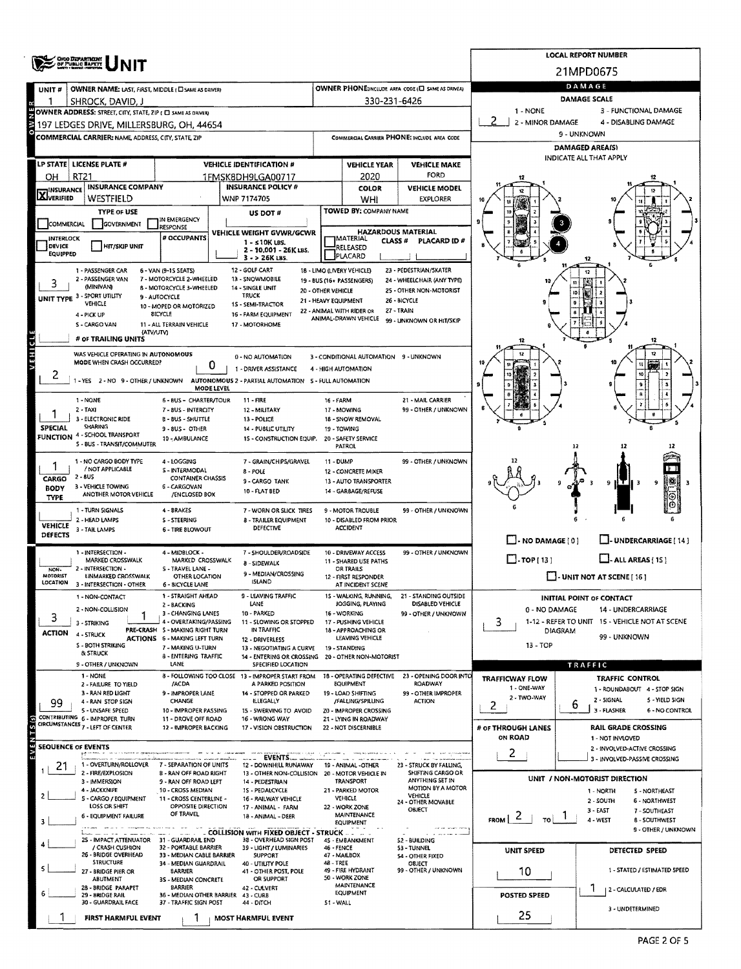|                                                                                                                           |                                                                    |                                                                 | <b>LOCAL REPORT NUMBER</b> |                                                                         |                                            |                                             |                                                            |                                     |                                                                    |  |  |  |  |  |
|---------------------------------------------------------------------------------------------------------------------------|--------------------------------------------------------------------|-----------------------------------------------------------------|----------------------------|-------------------------------------------------------------------------|--------------------------------------------|---------------------------------------------|------------------------------------------------------------|-------------------------------------|--------------------------------------------------------------------|--|--|--|--|--|
|                                                                                                                           | <b>ORO DEPARTMENT</b><br>OF PUBLIC BAFETT                          |                                                                 | 21MPD0675                  |                                                                         |                                            |                                             |                                                            |                                     |                                                                    |  |  |  |  |  |
| UNIT#                                                                                                                     | OWNER NAME: LAST, FIRST, MIDDLE (C) SAME AS DRIVERY                |                                                                 |                            |                                                                         |                                            |                                             | OWNER PHONE:INCLUDE AREA CODE (L) SAME AS DRIVER!          | DAMAGE                              |                                                                    |  |  |  |  |  |
|                                                                                                                           | SHROCK, DAVID, J                                                   |                                                                 |                            |                                                                         |                                            | 330-231-6426                                |                                                            | <b>DAMAGE SCALE</b>                 |                                                                    |  |  |  |  |  |
|                                                                                                                           | OWNER ADDRESS: STREET, CITY, STATE, ZIP ( C) SAME AS DRIVERY       |                                                                 |                            |                                                                         |                                            |                                             |                                                            | 1 - NONE                            | 3 - FUNCTIONAL DAMAGE                                              |  |  |  |  |  |
|                                                                                                                           | 197 LEDGES DRIVE, MILLERSBURG, OH, 44654                           |                                                                 |                            |                                                                         |                                            |                                             |                                                            | 2 - MINOR DAMAGE                    | 4 - DISABLING DAMAGE<br>9 - UNKNOWN                                |  |  |  |  |  |
|                                                                                                                           | <b>COMMERCIAL CARRIER: NAME, ADDRESS, CITY, STATE, ZIP</b>         |                                                                 |                            |                                                                         |                                            |                                             | COMMERCIAL CARRIER PHONE: INCLUDE AREA CODE                | DAMAGED AREA(S)                     |                                                                    |  |  |  |  |  |
|                                                                                                                           |                                                                    |                                                                 |                            |                                                                         |                                            |                                             |                                                            | <b>INDICATE ALL THAT APPLY</b>      |                                                                    |  |  |  |  |  |
|                                                                                                                           | LP STATE LICENSE PLATE #                                           |                                                                 |                            | <b>VEHICLE IDENTIFICATION #</b>                                         |                                            | <b>VEHICLE YEAR</b>                         | <b>VEHICLE MAKE</b><br>FORD                                |                                     |                                                                    |  |  |  |  |  |
| OH<br><b>INSURANCE</b>                                                                                                    | RT21<br><b>INSURANCE COMPANY</b>                                   |                                                                 |                            | 1FMSK8DH9LGA00717<br><b>INSURANCE POLICY #</b>                          |                                            | 2020<br><b>COLOR</b>                        | <b>VEHICLE MODEL</b>                                       |                                     |                                                                    |  |  |  |  |  |
| <b>X</b> VERIFIED                                                                                                         | WESTFIELD                                                          |                                                                 |                            | WNP 7174705                                                             |                                            | WHI                                         | <b>EXPLORER</b>                                            |                                     |                                                                    |  |  |  |  |  |
|                                                                                                                           | <b>TYPE OF USE</b>                                                 |                                                                 |                            | US DOT#                                                                 |                                            | <b>TOWED BY: COMPANY NAME</b>               |                                                            |                                     |                                                                    |  |  |  |  |  |
| COMMERCIAL                                                                                                                | GOVERNMENT                                                         | IN EMERGENCY<br>RESPONSE                                        |                            | VEHICLE WEIGHT GVWR/GCWR                                                |                                            | <b>HAZARDOUS MATERIAL</b>                   |                                                            |                                     |                                                                    |  |  |  |  |  |
| <b>INTERLOCK</b><br>DEVICE                                                                                                | <b>HIT/SKIP UNIT</b>                                               | # OCCUPANTS                                                     |                            | $1 - s10K$ LBS.                                                         |                                            | <b>IMATERIAL</b><br>CLASS #<br>RELEASED     | PLACARD ID#                                                |                                     |                                                                    |  |  |  |  |  |
| <b>EQUIPPED</b>                                                                                                           |                                                                    |                                                                 |                            | 2 - 10,001 - 26K LBS.<br>3 - > 26K LBS.                                 |                                            | PLACARD                                     |                                                            |                                     |                                                                    |  |  |  |  |  |
| 12 - GOLF CART<br>23 - PEDESTRIAN/SKATER<br>1 - PASSENGER CAR<br>18 - LIMO (LIVERY VEHICLE)<br>6 - VAN (9-1S SEATS)<br>12 |                                                                    |                                                                 |                            |                                                                         |                                            |                                             |                                                            |                                     |                                                                    |  |  |  |  |  |
|                                                                                                                           | 2 - PASSENGER VAN<br><b>MINIVANI</b>                               | 7 - MOTORCYCLE 2-WHEELED<br>8 - MOTORCYCLE 3-WHEELED            |                            | 13 - SNOWMOBILE<br>14 - SINGLE UNIT                                     |                                            | 19 - BUS (16+ PASSENGERS)                   | 24 - WHEELCHAIR (ANY TYPE)<br>25 - OTHER NON-MOTORIST      |                                     |                                                                    |  |  |  |  |  |
|                                                                                                                           | UNIT TYPE 3 - SPORT UTILITY<br>VEHICLE                             | 9 - AUTOCYCLE                                                   |                            | <b>TRUCK</b>                                                            | 20 - OTHER VEHICLE<br>21 - HEAVY EQUIPMENT |                                             | 26 - BICYCLE                                               |                                     |                                                                    |  |  |  |  |  |
|                                                                                                                           | 4 - PICK UP                                                        | 10 - MOPED OR MOTORIZED<br><b>BICYCLE</b>                       |                            | 15 - SEMI-TRACTOR<br>16 - FARM EQUIPMENT                                |                                            | 22 - ANIMAL WITH RIDER OR                   | 27 - TRAIN                                                 |                                     |                                                                    |  |  |  |  |  |
|                                                                                                                           | S - CARGO VAN<br>(ATV/UTV)                                         | 11 - ALL TERRAIN VEHICLE                                        |                            | 17 - MOTORHOME                                                          |                                            | ANIMAL-DRAWN VEHICLE                        | 99 - UNKNOWN OR HIT/SKIP                                   |                                     |                                                                    |  |  |  |  |  |
|                                                                                                                           | # OF TRAILING UNITS                                                |                                                                 |                            |                                                                         |                                            |                                             |                                                            | 12                                  | 17                                                                 |  |  |  |  |  |
| VEHICLE                                                                                                                   | WAS VEHICLE OPERATING IN AUTONOMOUS                                |                                                                 |                            | 0 - NO AUTOMATION                                                       |                                            | 3 - CONDITIONAL AUTOMATION 9 - UNKNOWN      |                                                            |                                     |                                                                    |  |  |  |  |  |
|                                                                                                                           | MODE WHEN CRASH OCCURRED?                                          |                                                                 | 0                          | 1 - DRIVER ASSISTANCE                                                   |                                            | 4 - HIGH AUTOMATION                         |                                                            |                                     |                                                                    |  |  |  |  |  |
| 2                                                                                                                         | 1-YES 2-NO 9-OTHER/UNKNOWN                                         |                                                                 | MODE LEVEL                 | AUTONOMOUS 2 - PARTIAL AUTOMATION 5 - FULL AUTOMATION                   |                                            |                                             |                                                            |                                     |                                                                    |  |  |  |  |  |
|                                                                                                                           | 1 - NONE                                                           | 6 - BUS - CHARTER/TOUR                                          |                            | <b>11 FIRE</b>                                                          | <b>16 - FARM</b>                           |                                             | 21 - MAIL CARRIER                                          |                                     |                                                                    |  |  |  |  |  |
|                                                                                                                           | $2 - TAXI$                                                         | 7 - 8US - INTERCITY                                             |                            | 12 - MILITARY                                                           |                                            | 17 - MOWING                                 | 99 - OTHER / UNKNOWN                                       |                                     |                                                                    |  |  |  |  |  |
| <b>SPECIAL</b>                                                                                                            | 3 - ELECTRONIC RIDE<br><b>SHARING</b>                              | <b>B-BUS-SHUTTLE</b><br>9 - BUS - OTHER                         |                            | 13 - POLICE<br>14 - PUBLIC UTILITY                                      | 19 - TOWING                                | 18 - SNOW REMOVAL                           |                                                            |                                     |                                                                    |  |  |  |  |  |
|                                                                                                                           | FUNCTION 4 - SCHOOL TRANSPORT<br>S - BUS - TRANSIT/COMMUTER        | 10 - AMBULANCE                                                  |                            | 15 - CONSTRUCTION EQUIP.                                                |                                            | 20 - SAFETY SERVICE                         |                                                            |                                     |                                                                    |  |  |  |  |  |
|                                                                                                                           |                                                                    |                                                                 |                            |                                                                         |                                            | PATROL                                      |                                                            |                                     | 12                                                                 |  |  |  |  |  |
|                                                                                                                           | 1 - NO CARGO BODY TYPE<br>/ NOT APPLICABLE                         | 4 - LOGGING<br>S - INTERMODAL                                   |                            | 7 - GRAIN/CHIPS/GRAVEL<br>8 - POLE                                      | 11 - DUMP                                  | 12 - CONCRETE MIXER                         | 99 - OTHER / UNKNOWN                                       |                                     |                                                                    |  |  |  |  |  |
| CARGO                                                                                                                     | $2 - 8US$                                                          | <b>CONTAINER CHASSIS</b>                                        |                            | 9 - CARGO TANK                                                          |                                            | 13 - AUTO TRANSPORTER                       |                                                            | ∰<br>9<br>9<br>-3                   |                                                                    |  |  |  |  |  |
| BODY<br><b>TYPE</b>                                                                                                       | 3 - VEHICLE TOWING<br>ANOTHER MOTOR VEHICLE                        | 6 - CARGOVAN<br>/ENCLOSED BOX                                   |                            | 10 - FLAT BED                                                           |                                            | 14 - GARBAGE/REFUSE                         |                                                            |                                     |                                                                    |  |  |  |  |  |
|                                                                                                                           | 1 - TURN SIGNALS                                                   | 4 - BRAKES                                                      |                            | 7 - WORN OR SLICK TIRES                                                 |                                            | 9 - MOTOR TROUBLE                           | 99 - OTHER / UNKNOWN                                       |                                     |                                                                    |  |  |  |  |  |
| <b>VEHICLE</b>                                                                                                            | 2 - HEAD LAMPS<br>3 - TAIL LAMPS                                   | S - STEERING                                                    |                            | 8 - TRAILER EQUIPMENT<br><b>DEFECTIVE</b>                               |                                            | 10 - DISABLED FROM PRIOR<br><b>ACCIDENT</b> |                                                            |                                     |                                                                    |  |  |  |  |  |
| <b>DEFECTS</b>                                                                                                            |                                                                    | <b>6 - TIRE BLOWOUT</b>                                         |                            |                                                                         |                                            |                                             |                                                            | $\Box$ - NO DAMAGE [ 0 ]            | LI-UNDERCARRIAGE [14]                                              |  |  |  |  |  |
|                                                                                                                           | 1 - INTERSECTION -                                                 | 4 - MIDBLOCK -                                                  |                            | 7 - SHOULDER/ROADSIDE                                                   |                                            | 10 - DRIVEWAY ACCESS                        | 99 - OTHER / UNKNOWN                                       |                                     |                                                                    |  |  |  |  |  |
| NON-                                                                                                                      | MARKED CROSSWALK<br>2 - INTERSECTION -                             | MARKED CROSSWALK<br>S - TRAVEL LANE -                           |                            | 8 - SIDEWALK                                                            |                                            | 11 - SHARED USE PATHS<br>OR TRAILS          |                                                            | $\Box$ -TOP[13]                     | $L$ - ALL AREAS $(15)$                                             |  |  |  |  |  |
| <b>MOTORIST</b><br>LOCATION                                                                                               | UNMARKED CROSSWALK<br>3 - INTERSECTION - OTHER                     | <b>OTHER LOCATION</b><br>6 - BICYCLE LANE                       |                            | 9 - MEDIAN/CROSSING<br><b>ISLAND</b>                                    |                                            | 12 - FIRST RESPONDER<br>AT INCIDENT SCENE   |                                                            | $\Box$ - UNIT NOT AT SCENE [16]     |                                                                    |  |  |  |  |  |
|                                                                                                                           | 1 - NON-CONTACT                                                    | 1 - STRAIGHT AHEAD                                              |                            | 9 - LEAVING TRAFFIC                                                     |                                            | 15 - WALKING, RUNNING,                      | 21 - STANDING OUTSIDE                                      |                                     | <b>INITIAL POINT OF CONTACT</b>                                    |  |  |  |  |  |
|                                                                                                                           | 2 - NON-COLLISION                                                  | 2 - BACKING<br>3 - CHANGING LANES                               |                            | LANE<br>10 - PARKED                                                     |                                            | JOGGING, PLAYING<br>16 - WORKING            | DISABLED VEHICLE<br>99 - OTHER / UNKNOWN                   | 0 - NO DAMAGE<br>14 - UNDERCARRIAGE |                                                                    |  |  |  |  |  |
| 3                                                                                                                         | 3 - STRIKING                                                       | 4 - OVERTAKING/PASSING                                          |                            | 11 - SLOWING OR STOPPED                                                 |                                            | 17 - PUSHING VEHICLE                        |                                                            | 3.                                  | 1-12 - REFER TO UNIT 15 - VEHICLE NOT AT SCENE                     |  |  |  |  |  |
| <b>ACTION</b>                                                                                                             | 4 - STRUCK                                                         | PRE-CRASH 5 - MAKING RIGHT TURN<br>ACTIONS 6 - MAKING LEFT TURN |                            | IN TRAFFIC<br>12 - DRIVERLESS                                           |                                            | 18 - APPROACHING OR<br>LEAVING VEHICLE      |                                                            | <b>DIAGRAM</b>                      | 99 - UNKNOWN                                                       |  |  |  |  |  |
|                                                                                                                           | S - BOTH STRIKING<br>& STRUCK                                      | 7 - MAKING U-TURN<br><b>8 - ENTERING TRAFFIC</b>                |                            | 13 - NEGOTIATING A CURVE                                                |                                            | 19 - STANDING                               |                                                            | 13 - TOP                            |                                                                    |  |  |  |  |  |
|                                                                                                                           | 9 - OTHER / UNKNOWN                                                | LANE                                                            |                            | 14 - ENTERING OR CROSSING 20 - OTHER NON-MOTORIST<br>SPECIFIED LOCATION |                                            |                                             |                                                            |                                     | TRAFFIC                                                            |  |  |  |  |  |
|                                                                                                                           | 1 - NONE<br>2 - FAILURE TO YIELD                                   | /ACDA                                                           |                            | 8 - FOLLOWING TOO CLOSE 13 - IMPROPER START FROM<br>A PARKED POSITION   |                                            | EQUIPMENT                                   | 18 - OPERATING DEFECTIVE 23 - OPENING DOOR INTO<br>ROADWAY | <b>TRAFFICWAY FLOW</b>              | <b>TRAFFIC CONTROL</b>                                             |  |  |  |  |  |
|                                                                                                                           | 3 - RAN RED LIGHT                                                  | 9 - IMPROPER LANE                                               |                            | 14 - STOPPED OR PARKED                                                  |                                            | 19 - LOAD SHIFTING                          | 99 - OTHER IMPROPER                                        | 1 - ONE-WAY<br>2 - TWO-WAY          | 1 - ROUNDABOUT 4 - STOP SIGN                                       |  |  |  |  |  |
| 99                                                                                                                        | 4 RAN STOP SIGN<br>5 - UNSAFE SPEED                                | CHANGE<br>10 - IMPROPER PASSING                                 |                            | ILLEGALLY<br>15 - SWERVING TO AVOID                                     |                                            | /FALLING/SPILLING<br>Z0 - IMPROPER CROSSING | <b>ACTION</b>                                              | 2                                   | 2 - SIGNAL<br>5 - YIELD SIGN<br>6<br>3 - FLASHER<br>6 - NO CONTROL |  |  |  |  |  |
|                                                                                                                           | CONTRIBUTING 6 - IMPROPER TURN<br>CIRCUMSTANCES 7 - LEFT OF CENTER | 11 - DROVE OFF ROAD                                             |                            | 16 - WRONG WAY                                                          |                                            | 21 - LYING IN ROADWAY                       |                                                            |                                     |                                                                    |  |  |  |  |  |
|                                                                                                                           |                                                                    | 12 - IMPROPER BACKING                                           |                            | 17 - VISION OBSTRUCTION                                                 |                                            | 22 - NOT DISCERNIBLE                        |                                                            | # OF THROUGH LANES<br>ON ROAD       | <b>RAIL GRADE CROSSING</b><br>1 - NOT INVLOVED                     |  |  |  |  |  |
| <b>SEQUENCE OF EVENTS</b>                                                                                                 |                                                                    |                                                                 |                            |                                                                         |                                            |                                             |                                                            | 2                                   | 2 - INVOLVED-ACTIVE CROSSING                                       |  |  |  |  |  |
| 21                                                                                                                        | 1 - OVERTURN/ROLLOVER                                              | 7 - SEPARATION OF UNITS                                         |                            | <b>THE EVENTS</b><br>12 - DOWNHILL RUNAWAY                              |                                            | 19 - ANIMAL -OTHER                          | 23 - STRUCK BY FALLING,                                    |                                     | 3 - INVOLVED-PASSIVE CROSSING                                      |  |  |  |  |  |
|                                                                                                                           | 2 - FIRE/EXPLOSION<br>3 - IMMERSION                                | <b>B-RAN OFF ROAD RIGHT</b><br>9 - RAN OFF ROAD LEFT            |                            | 13 - OTHER NON-COLLISION<br>14 - PEDESTRIAN                             |                                            | 20 - MOTOR VEHICLE IN<br><b>TRANSPORT</b>   | SHIFTING CARGO OR<br>ANYTHING SET IN                       |                                     | UNIT / NON-MOTORIST DIRECTION                                      |  |  |  |  |  |
|                                                                                                                           | 4 - JACKKNIFE                                                      | 10 - CROSS MEDIAN                                               |                            | 15 - PEDALCYCLE                                                         |                                            | 21 - PARKED MOTOR                           | <b>MOTION BY A MOTOR</b><br>VEHICLE                        |                                     | 1 - NORTH<br>S - NORTHEAST                                         |  |  |  |  |  |
|                                                                                                                           | S - CARGO / EQUIPMENT<br>LOSS OR SHIFT                             | 11 - CROSS CENTERLINE -<br>OPPOSITE DIRECTION                   |                            | 16 - RAILWAY VEHICLE<br>17 - ANIMAL - FARM                              |                                            | <b>VEHICLE</b><br>22 - WORK ZONE            | 24 - OTHER MOVABLE<br>OBJECT                               | 2 - SOUTH<br><b>6 - NORTHWEST</b>   |                                                                    |  |  |  |  |  |
|                                                                                                                           | 6 - EQUIPMENT FAILURE                                              | OF TRAVEL                                                       |                            | 18 - ANIMAL - DEER                                                      |                                            | <b>MAINTENANCE</b><br><b>EQUIPMENT</b>      |                                                            | $F_{ROM}$ 2<br>TO                   | 3 - EAST<br>7 - SOUTHEAST<br>4 - WEST<br><b>B-SOUTHWEST</b>        |  |  |  |  |  |
|                                                                                                                           |                                                                    |                                                                 |                            | <b>COLLISION WITH FIXED OBJECT - STRUCK </b>                            |                                            |                                             | Look of Canada membe<br><b>S. A. Now York W.</b>           |                                     | 9 - OTHER / UNKNOWN                                                |  |  |  |  |  |
|                                                                                                                           | 25 - IMPACT ATTENUATOR 31 - GUARDRAIL END<br>/ CRASH CUSHION       | 32 - PORTABLE BARRIER                                           |                            | 38 - OVERHEAD SIGN POST<br>39 - LIGHT / LUMINARIES                      | 46 - FENCE                                 | 45 - EMBANKMENT                             | 52 - BUILDING<br>53 - TUNNEL                               | UNIT SPEED                          | DETECTED SPEED                                                     |  |  |  |  |  |
|                                                                                                                           | 26 - BRIDGE OVERHEAD<br><b>STRUCTURE</b>                           | 33 - MEDIAN CABLE BARRIER<br>34 - MEDIAN GUARDRAIL              |                            | <b>SUPPORT</b><br>40 - UTILITY POLE                                     | 48 - TREE                                  | 47 - MAILBOX                                | 54 - OTHER FIXED<br><b>OBJECT</b>                          |                                     |                                                                    |  |  |  |  |  |
|                                                                                                                           | 27 - BRIDGE PIER OR<br>ABUTMENT                                    | <b>BARRIER</b><br>35 - MEDIAN CONCRETE                          |                            | 41 - OTHER POST, POLE<br>OR SUPPORT                                     |                                            | 49 - FIRE HYDRANT<br>50 - WORK ZONE         | 99 - OTHER / UNKNOWN                                       | 10                                  | 1 - STATED / ESTIMATED SPEED                                       |  |  |  |  |  |
|                                                                                                                           | 28 - BRIDGE PARAPET                                                | <b>BARRIER</b>                                                  |                            | 42 - CULVERT                                                            |                                            | MAINTENANCE<br><b>EQUIPMENT</b>             |                                                            |                                     | 2 - CALCULATED / EDR                                               |  |  |  |  |  |
|                                                                                                                           | 29 - BRIDGE RAIL<br>30 - GUARDRAIL FACE                            | 36 - MEDIAN OTHER BARRIER 43 - CURB<br>37 - TRAFFIC SIGN POST   |                            | 44 - DITCH                                                              | St - WALL                                  |                                             |                                                            | POSTED SPEED                        | 3 - UNDETERMINED                                                   |  |  |  |  |  |
|                                                                                                                           | FIRST HARMFUL EVENT                                                |                                                                 |                            | <b>MOST HARMFUL EVENT</b>                                               |                                            |                                             |                                                            | 25                                  |                                                                    |  |  |  |  |  |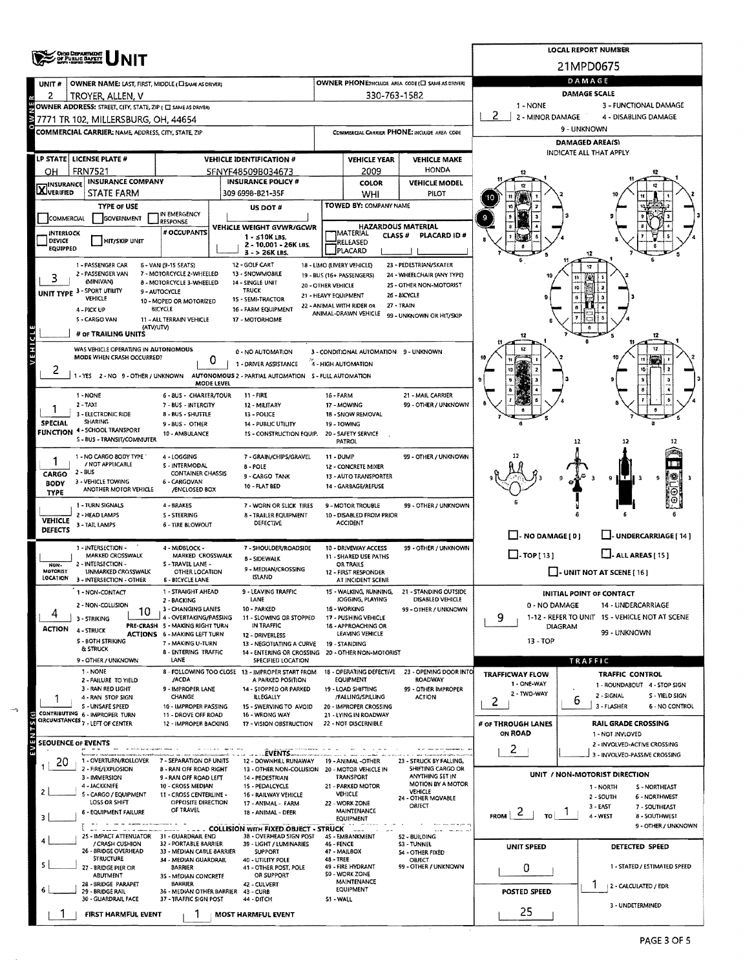|                                  |                                                                                 |                                                           | <b>LOCAL REPORT NUMBER</b>                                              |                                                          |                                                 |                                                            |                                                                                   |                                                               |  |  |  |  |  |
|----------------------------------|---------------------------------------------------------------------------------|-----------------------------------------------------------|-------------------------------------------------------------------------|----------------------------------------------------------|-------------------------------------------------|------------------------------------------------------------|-----------------------------------------------------------------------------------|---------------------------------------------------------------|--|--|--|--|--|
|                                  | OHO DEPARTMENT<br>OF PUBLIC BAFETY                                              |                                                           |                                                                         |                                                          |                                                 |                                                            | 21MPD0675                                                                         |                                                               |  |  |  |  |  |
|                                  |                                                                                 |                                                           |                                                                         |                                                          |                                                 |                                                            | DAMAGE                                                                            |                                                               |  |  |  |  |  |
| UNIT #                           | OWNER NAME: LAST, FIRST, MIDDLE (CI SAME AS ORVER)                              |                                                           |                                                                         |                                                          |                                                 | OWNER PHONE:INCLUDE AREA CODE (E) SAME AS DRIVER)          | DAMAGE SCALE                                                                      |                                                               |  |  |  |  |  |
| 2                                | TROYER, ALLEN, V<br>OWNER ADDRESS: STREET, CITY, STATE, ZIP ( C SAME AS DRIVER) |                                                           |                                                                         |                                                          | 330-763-1582                                    |                                                            | 1 - NONE<br>3 - FUNCTIONAL DAMAGE                                                 |                                                               |  |  |  |  |  |
|                                  | 7771 TR 102, MILLERSBURG, OH, 44654                                             |                                                           |                                                                         |                                                          |                                                 |                                                            | 2 <sup>1</sup><br>2 - MINOR DAMAGE<br>4 - DISABLING DAMAGE                        |                                                               |  |  |  |  |  |
|                                  | COMMERCIAL CARRIER: NAME, ADDRESS, CITY, STATE, ZIP                             |                                                           |                                                                         |                                                          |                                                 | COMMERCIAL CARRIER PHONE: INCLUDE AREA CODE                | 9 - UNKNOWN                                                                       |                                                               |  |  |  |  |  |
|                                  |                                                                                 |                                                           |                                                                         |                                                          |                                                 |                                                            |                                                                                   | <b>DAMAGED AREA(S)</b>                                        |  |  |  |  |  |
|                                  | LP STATE   LICENSE PLATE #                                                      |                                                           | <b>VEHICLE IDENTIFICATION #</b>                                         |                                                          | <b>VEHICLE YEAR</b>                             | <b>VEHICLE MAKE</b>                                        |                                                                                   | INDICATE ALL THAT APPLY                                       |  |  |  |  |  |
| он                               | <b>FRN7521</b>                                                                  |                                                           | SFNYF48509B034673                                                       |                                                          | 2009                                            | <b>HONDA</b>                                               |                                                                                   |                                                               |  |  |  |  |  |
| <b>X</b> INSURANCE               | <b>INSURANCE COMPANY</b>                                                        | <b>INSURANCE POLICY #</b>                                 |                                                                         | COLOR                                                    | <b>VEHICLE MODEL</b>                            |                                                            |                                                                                   |                                                               |  |  |  |  |  |
|                                  | STATE FARM                                                                      |                                                           | 309 6998-B21-35F                                                        |                                                          | WHI                                             | PILOT                                                      |                                                                                   |                                                               |  |  |  |  |  |
|                                  | <b>TYPE OF USE</b>                                                              | IN EMERGENCY                                              | US DOT #                                                                |                                                          | TOWED BY: COMPANY NAME                          |                                                            |                                                                                   |                                                               |  |  |  |  |  |
| COMMERCIAL                       | <b>GOVERNMENT</b>                                                               | <b>RESPONSE</b>                                           | VEHICLE WEIGHT GVWR/GCWR                                                |                                                          | <b>HAZARDOUS MATERIAL</b>                       |                                                            |                                                                                   |                                                               |  |  |  |  |  |
| INTERLOCK<br>DEVICE              | <b>HIT/SKIP UNIT</b>                                                            | # OCCUPANTS                                               | $1 - 510K$ LBS.                                                         |                                                          | MATERIAL<br>CLASS #                             | PLACARD ID#                                                |                                                                                   |                                                               |  |  |  |  |  |
| EQUIPPED                         |                                                                                 |                                                           | 2 - 10,001 - 26K LBS.<br>$3 - 26K$ LBS.                                 |                                                          | RELEASED<br>PLACARD                             |                                                            |                                                                                   |                                                               |  |  |  |  |  |
|                                  | 1 - PASSENGER CAR                                                               | 6 - VAN (9-15 SEATS)                                      | 12 - GOLF CART                                                          |                                                          | 18 - LIMO (LIVERY VEHICLE)                      | 23 - PEDESTRIAN/SKATER                                     |                                                                                   |                                                               |  |  |  |  |  |
|                                  | 2 - PASSENGER VAN<br>(MINIVAN)                                                  | 7 - MOTORCYCLE 2-WHEELED                                  | 13 - SNOWMOBILE                                                         |                                                          | 19 - BUS (16+ PASSENGERS)                       | 24 - WHEELCHAIR (ANY TYPE)                                 | 10                                                                                |                                                               |  |  |  |  |  |
|                                  | UNIT TYPE 3 - SPORT UTILITY                                                     | 8 - MOTORCYCLE 3-WHEELED<br>9 - AUTOCYCLE                 | 14 - SINGLE UNIT<br><b>TRUCK</b>                                        | 20 - OTHER VEHICLE                                       |                                                 | 25 - OTHER NON-MOTORIST<br>26 - BICYCLE                    |                                                                                   | łō                                                            |  |  |  |  |  |
|                                  | VEHICLE                                                                         | 10 - MOPED OR MOTORIZED                                   | 1S - SEMI-TRACTOR                                                       | 21 - HEAVY EQUIPMENT                                     | 22 - ANIMAL WITH RIDER OR                       | 27 - TRAIN                                                 |                                                                                   |                                                               |  |  |  |  |  |
|                                  | 4 - PICK UP<br>5 - CARGO VAN                                                    | BICYCLE<br>11 - ALL TERRAIN VEHICLE                       | 16 - FARM EQUIPMENT<br>17 - MOTORHOME                                   |                                                          | ANIMAL-DRAWN VEHICLE                            | 99 - UNKNOWN OR HIT/SKIP                                   |                                                                                   |                                                               |  |  |  |  |  |
|                                  | (ATV/UTV)<br># OF TRAILING UNITS                                                |                                                           |                                                                         |                                                          |                                                 |                                                            |                                                                                   |                                                               |  |  |  |  |  |
| VEHICLE                          |                                                                                 |                                                           |                                                                         |                                                          |                                                 |                                                            | 12                                                                                | 12                                                            |  |  |  |  |  |
|                                  | WAS VEHICLE OPERATING IN AUTONOMOUS<br>MODE WHEN CRASH OCCURRED?                | 0                                                         | 0 - NO AUTOMATION                                                       |                                                          | 3 - CONDITIONAL AUTOMATION 9 - UNKNOWN          |                                                            |                                                                                   | 12                                                            |  |  |  |  |  |
| ۷                                |                                                                                 |                                                           | 1 - DRIVER ASSISTANCE                                                   |                                                          | 4 - HIGH AUTOMATION                             |                                                            |                                                                                   |                                                               |  |  |  |  |  |
|                                  | 1-YES 2-NO 9-OTHER/UNKNOWN                                                      | MODE LEVEL                                                | AUTONOMOUS 2 - PARTIAL AUTOMATION 5 - FULL AUTOMATION                   |                                                          |                                                 |                                                            |                                                                                   |                                                               |  |  |  |  |  |
|                                  | 1 - NONE                                                                        | 6 - BUS - CHARTER/TOUR                                    | 11 - FIRE                                                               | 16 - FARM                                                |                                                 | 21 - MAIL CARRIER                                          |                                                                                   |                                                               |  |  |  |  |  |
|                                  | $2 - TAX1$                                                                      | 7 - BUS - INTERCITY                                       | 12 - MILITARY                                                           | 17 - MOWING                                              |                                                 | 99 - OTHER / UNKNOWN                                       |                                                                                   |                                                               |  |  |  |  |  |
| <b>SPECIAL</b>                   | 3 - ELECTRONIC RIDE<br><b>SHARING</b>                                           | 8 - BUS - SHUTTLE<br>9-BUS-OTHER                          | 13 - POLICE<br>14 - PUBLIC UTILITY                                      |                                                          | 18 - SNOW REMOVAL<br>19 - TOWING                |                                                            |                                                                                   |                                                               |  |  |  |  |  |
|                                  | <b>FUNCTION 4 - SCHOOL TRANSPORT</b><br>S - BUS - TRANSIT/COMMUTER              | 10 - AMBULANCE                                            | 1S - CONSTRUCTION EQUIP.                                                |                                                          | 20 - SAFETY SERVICE                             |                                                            |                                                                                   |                                                               |  |  |  |  |  |
|                                  |                                                                                 |                                                           |                                                                         |                                                          | PATROL                                          |                                                            |                                                                                   | 12                                                            |  |  |  |  |  |
|                                  | 1 - NO CARGO BODY TYPE<br>/ NOT APPLICABLE                                      | 4 - LOGGING<br><b>S-INTERMODAL</b>                        | 7 - GRAIN/CHIPS/GRAVEL                                                  | 11 - DUMP<br>99 - OTHER / UNKNOWN<br>12 - CONCRETE MIXER |                                                 |                                                            |                                                                                   |                                                               |  |  |  |  |  |
| CARGO                            | 2 - BUS                                                                         | <b>CONTAINER CHASSIS</b>                                  | <b>B-POLE</b><br>9 - CARGO TANK                                         |                                                          | 13 - AUTO TRANSPORTER                           |                                                            |                                                                                   | 9                                                             |  |  |  |  |  |
| <b>BODY</b><br>TYPE              | 3 - VEHICLE TOWING<br>ANOTHER MOTOR VEHICLE                                     | 6 - CARGOVAN<br>/ENCLOSED BOX                             | 10 - FLAT BED                                                           |                                                          | 14 - GARBAGE/REFUSE                             |                                                            |                                                                                   | Θ                                                             |  |  |  |  |  |
|                                  | 1 - TURN SIGNALS                                                                | 4 - BRAKES                                                | 7 - WORN OR SLICK TIRES                                                 | 9 - MOTOR TROUBLE<br>99 - OTHER / UNKNOWN                |                                                 |                                                            |                                                                                   |                                                               |  |  |  |  |  |
|                                  | 2 - HEAD LAMPS                                                                  | <b>S-STEERING</b>                                         | <b>8 - TRAILER EQUIPMENT</b>                                            |                                                          | 10 - DISABLED FROM PRIOR                        |                                                            |                                                                                   |                                                               |  |  |  |  |  |
| <b>VEHICLE</b><br><b>DEFECTS</b> | 3 - TAIL LAMPS                                                                  | <b>6 - TIRE BLOWOUT</b>                                   | <b>DEFECTIVE</b>                                                        |                                                          | <b>ACCIDENT</b>                                 |                                                            |                                                                                   |                                                               |  |  |  |  |  |
|                                  |                                                                                 |                                                           |                                                                         |                                                          |                                                 |                                                            | $\Box$ - NO DAMAGE [ 0 ]                                                          | L. UNDERCARRIAGE [ 14 ]                                       |  |  |  |  |  |
|                                  | 1 - INTERSECTION -<br>MARKED CROSSWALK                                          | 4 - MIDBLOCK -<br>MARKED CROSSWALK                        | 7 - SHOULDER/ROADSIDE<br>8 - SIDEWALK                                   |                                                          | 10 - DRIVEWAY ACCESS<br>11 - SHARED USE PATHS   | 99 - OTHER / UNKNOWN                                       | $\Box$ -TOP[13]<br>$\Box$ - ALL AREAS [ 15 ]<br>$\Box$ - UNIT NOT AT SCENE [ 16 ] |                                                               |  |  |  |  |  |
| NON-<br><b>MOTORIST</b>          | 2 - INTERSECTION -<br>UNMARKED CROSSWALK                                        | 5 - TRAVEL LANE -<br>OTHER LOCATION                       | 9 - MEDIAN/CROSSING                                                     |                                                          | OR TRAILS<br>12 - FIRST RESPONDER               |                                                            |                                                                                   |                                                               |  |  |  |  |  |
| LOCATION                         | 3 - INTERSECTION - OTHER                                                        | <b>6 - BICYCLE LANE</b>                                   | ISLAND                                                                  |                                                          | AT INCIDENT SCENE                               |                                                            |                                                                                   |                                                               |  |  |  |  |  |
|                                  | 1 - NON-CONTACT                                                                 | 1 - STRAIGHT AHEAD                                        | - LEAVING TRAFFIC<br>LANE                                               |                                                          | WALKING, RUNNING,                               | 21 - STANDING OUTSIDE<br>DISABLED VEHICLE                  |                                                                                   | <b>INITIAL POINT OF CONTACT</b>                               |  |  |  |  |  |
|                                  | 2 - NON-COLLISION<br>10                                                         | 2 - BACKING<br>3 - CHANGING LANES                         | 10 - PARKED                                                             | JOGGING, PLAYING<br>16 - WORKING<br>99 - OTHER / UNKNOWN |                                                 |                                                            | 0 - NO DAMAGE<br>14 - UNDERCARRIAGE                                               |                                                               |  |  |  |  |  |
| 4                                | 3 - STRIKING                                                                    | 4 - OVERTAKING/PASSING<br>PRE-CRASH 5 - MAKING RIGHT TURN | 11 - SLOWING OR STOPPED<br>IN TRAFFIC                                   | 17 - PUSHING VEHICLE<br>18 - APPROACHING OR              |                                                 |                                                            | 1-12 - REFER TO UNIT 15 - VEHICLE NOT AT SCENE<br>9<br><b>DIAGRAM</b>             |                                                               |  |  |  |  |  |
| <b>ACTION</b>                    | 4 - STRUCK                                                                      | <b>ACTIONS</b> 6 - MAKING LEFT TURN                       | 12 - DRIVERLESS                                                         |                                                          | LEAVING VEHICLE                                 |                                                            |                                                                                   | 99 - UNKNOWN                                                  |  |  |  |  |  |
|                                  | 5 - BOTH STRIKING<br>& STRUCK                                                   | 7 - MAKING U-TURN<br><b>8 - ENTERING TRAFFIC</b>          | 13 - NEGOTIATING A CURVE                                                |                                                          | 19 - STANDING                                   |                                                            | 13 - TOP                                                                          |                                                               |  |  |  |  |  |
|                                  | 9 - OTHER / UNKNOWN                                                             | LANE                                                      | 14 - ENTERING OR CROSSING 20 - OTHER NON-MOTORIST<br>SPECIFIED LOCATION |                                                          |                                                 |                                                            |                                                                                   | TRAFFIC                                                       |  |  |  |  |  |
|                                  | 1 - NONE                                                                        |                                                           | 8 - FOLLOWING TOO CLOSE 13 - IMPROPER START FROM                        |                                                          |                                                 | 18 - OPERATING DEFECTIVE 23 - OPENING DOOR INTO<br>ROADWAY | <b>TRAFFICWAY FLOW</b>                                                            | <b>TRAFFIC CONTROL</b>                                        |  |  |  |  |  |
|                                  | 2 - FAILURE TO YIELD<br>3 - RAN RED LIGHT                                       | /ACDA<br>9 - IMPROPER LANE                                | A PARKED POSITION<br>14 - STOPPED OR PARKED                             |                                                          | EQUIPMENT<br>19 - LOAD SHIFTING                 | 99 - OTHER IMPROPER                                        | 1 - ONE-WAY                                                                       | 1 - ROUNDABOUT 4 - STOP SIGN                                  |  |  |  |  |  |
|                                  | 4 - RAN STOP SIGN                                                               | CHANGE                                                    | <b>ILLEGALLY</b>                                                        |                                                          | /FALLING/SPILLING                               | <b>ACTION</b>                                              | 2 - TWO-WAY<br>2                                                                  | 2 - SIGNAL<br>S - YIELD SIGN<br>6                             |  |  |  |  |  |
| $\frac{1}{2}$                    | S - UNSAFE SPEED<br>CONTRIBUTING 6 - IMPROPER TURN                              | 10 - IMPROPER PASSING<br>11 - DROVE OFF ROAD              | 15 - SWERVING TO AVOID<br>16 - WRONG WAY                                |                                                          | 20 - IMPROPER CROSSING<br>21 - LYING IN ROADWAY |                                                            |                                                                                   | 3 - FLASHER<br>6 - NO CONTROL                                 |  |  |  |  |  |
|                                  | CIRCUMSTANCES 7 - LEFT OF CENTER                                                | 12 - IMPROPER BACKING                                     | 17 - VISION OBSTRUCTION                                                 |                                                          | 22 - NOT DISCERNIBLE                            |                                                            | # OF THROUGH LANES                                                                | <b>RAIL GRADE CROSSING</b>                                    |  |  |  |  |  |
| EVENT                            | SEOUENCE OF EVENTS                                                              |                                                           |                                                                         |                                                          |                                                 |                                                            | ON ROAD                                                                           | 1 - NOT INVLOVED<br>2 - INVOLVED-ACTIVE CROSSING              |  |  |  |  |  |
|                                  |                                                                                 |                                                           | EVENTS                                                                  |                                                          |                                                 |                                                            | $\mathbf{2}$                                                                      | 3 - INVOLVED-PASSIVE CROSSING                                 |  |  |  |  |  |
| 20                               | 1 - OVERTURN/ROLLOVER<br>2 - FIRE/EXPLOSION                                     | 7 - SEPARATION OF UNITS<br><b>B-RAN OFF ROAD RIGHT</b>    | 12 - DOWNHILL RUNAWAY<br>13 - OTHER NON-COLLISION                       |                                                          | 19 - ANIMAL -OTHER<br>20 - MOTOR VEHICLE IN     | 23 - STRUCK BY FALLING,<br>SHIFTING CARGO OR               |                                                                                   |                                                               |  |  |  |  |  |
|                                  | 3 - IMMERSION                                                                   | 9 - RAN OFF ROAD LEFT                                     | 14 - PEDESTRIAN                                                         |                                                          | <b>TRANSPORT</b>                                | ANYTHING SET IN<br><b>MOTION BY A MOTOR</b>                |                                                                                   | UNIT / NON-MOTORIST DIRECTION                                 |  |  |  |  |  |
|                                  | 4 - JACKKNIFE<br>S - CARGO / EQUIPMENT                                          | 10 - CROSS MEDIAN<br>11 - CROSS CENTERLINE -              | 15 - PEDALCYCLE<br>16 - RAILWAY VEHICLE                                 |                                                          | 21 - PARKED MOTOR<br>VEHICLE                    | VEHICLE<br>24 - OTHER MOVABLE                              |                                                                                   | 1 - NORTH<br><b>S-NORTHEAST</b><br>2 - SOUTH<br>6 - NORTHWEST |  |  |  |  |  |
|                                  | LOSS OR SHIFT<br>6 - EQUIPMENT FAILURE                                          | OPPOSITE DIRECTION<br>OF TRAVEL                           | 17 - ANIMAL - FARM<br>18 - ANIMAL - DEER                                |                                                          | 22 - WORK ZONE<br>MAINTENANCE                   | OBJECT                                                     |                                                                                   | 3 - EAST<br>7 - SOUTHEAST                                     |  |  |  |  |  |
|                                  |                                                                                 |                                                           |                                                                         |                                                          | EQUIPMENT                                       |                                                            | -2<br><b>FROM</b><br>TO                                                           | 4 - WEST<br><b>B-SOUTHWEST</b>                                |  |  |  |  |  |
|                                  | 25 - IMPACT ATTENUATOR                                                          | 31 - GUARDRAIL END                                        | <b>COLLISION WITH FIXED OBJECT - STRUCK</b><br>38 - OVERHEAD SIGN POST  |                                                          | $m = 1$<br>45 - EMBANKMENT                      | 52 - BUILDING                                              |                                                                                   | 9 - OTHER / UNKNOWN                                           |  |  |  |  |  |
|                                  | / CRASH CUSHION<br>26 - BRIDGE OVERHEAD                                         | 32 - PORTABLE BARRIER<br>33 - MEDIAN CABLE BARRIER        | 39 - LIGHT / LUMINARIES<br>SUPPORT                                      | 46 - FENCE                                               | 47 - MAIL8OX                                    | 53 - TUNNEL                                                | UNIT SPEED                                                                        | <b>DETECTED SPEED</b>                                         |  |  |  |  |  |
|                                  | <b>STRUCTURE</b>                                                                | 34 - MEDIAN GUARDRAIL                                     | 40 - UTILITY POLE                                                       | 48 - TREE                                                |                                                 | <b>S4 - OTHER FIXED</b><br>OBJECT                          |                                                                                   |                                                               |  |  |  |  |  |
|                                  | 27 - BRIDGE PIER OR<br><b>ABUTMENT</b>                                          | <b>BARRIER</b><br>35 - MEDIAN CONCRETE                    | 41 - OTHER POST, POLE<br>OR SUPPORT                                     |                                                          | 49 - FIRE HYDRANT<br>50 - WORK ZONE             | 99 - OTHER / UNKNOWN                                       | 0                                                                                 | 1 - STATED / ESTIMATED SPEED                                  |  |  |  |  |  |
|                                  | 28 - BRIDGE PARAPET<br>29 - BRIDGE RAIL                                         | <b>BARRIER</b><br>36 - MEDIAN OTHER BARRIER 43 - CURB     | 42 - CULVERT                                                            |                                                          | MAINTENANCE<br><b>EQUIPMENT</b>                 |                                                            | POSTED SPEED                                                                      | ı<br>2 - CALCULATED / EDR                                     |  |  |  |  |  |
|                                  | 30 - GUARDRAIL FACE                                                             | 37 - TRAFFIC SIGN POST                                    | <b>44 - DITCH</b>                                                       | 51 - WALL                                                |                                                 |                                                            |                                                                                   |                                                               |  |  |  |  |  |
|                                  | FIRST HARMFUL EVENT                                                             |                                                           | <b>MOST HARMFUL EVENT</b>                                               |                                                          |                                                 |                                                            | 25                                                                                | 3 - UNDETERMINED                                              |  |  |  |  |  |

 $\rightarrow$ 

 $\bar{\mathcal{A}}$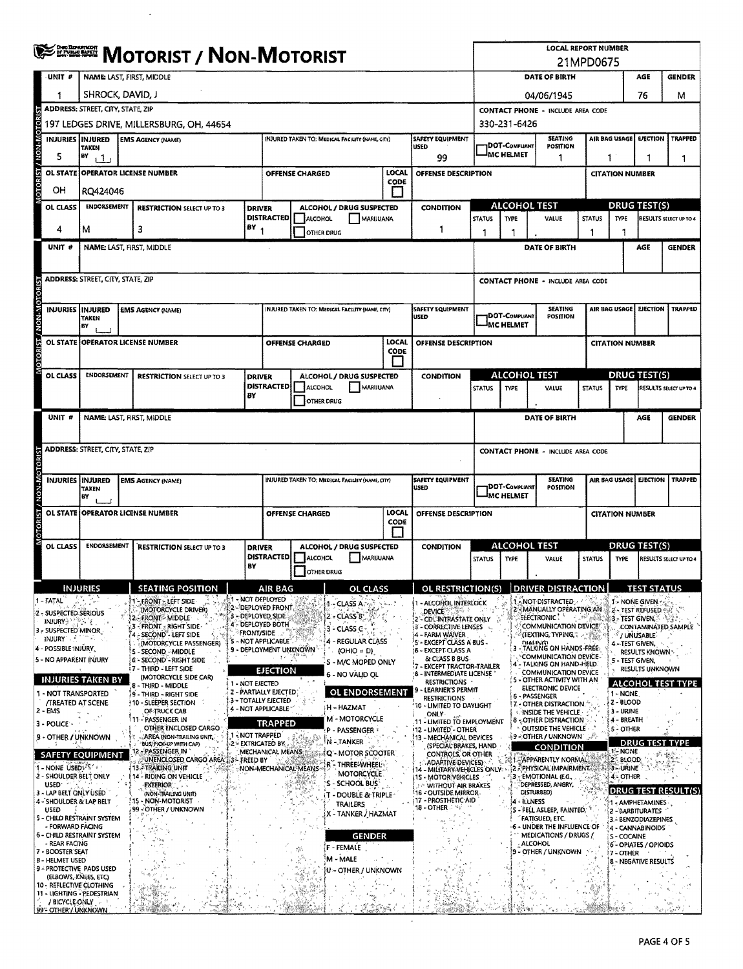|                               |                                                                                                       | <b>SERRETH MOTORIST / NON-MOTORIST</b>                                                                          |  |                                                                    |                                                                    |                                                                                                                            |                        |                                                        |                                 |                                                                                                           | <b>LOCAL REPORT NUMBER</b><br>21MPD0675                                                                                                    |                                           |                                                     |                                                    |                                                               |                                                  |                        |  |
|-------------------------------|-------------------------------------------------------------------------------------------------------|-----------------------------------------------------------------------------------------------------------------|--|--------------------------------------------------------------------|--------------------------------------------------------------------|----------------------------------------------------------------------------------------------------------------------------|------------------------|--------------------------------------------------------|---------------------------------|-----------------------------------------------------------------------------------------------------------|--------------------------------------------------------------------------------------------------------------------------------------------|-------------------------------------------|-----------------------------------------------------|----------------------------------------------------|---------------------------------------------------------------|--------------------------------------------------|------------------------|--|
|                               | UNIT #                                                                                                | <b>NAME: LAST, FIRST, MIDDLE</b>                                                                                |  |                                                                    |                                                                    |                                                                                                                            |                        |                                                        |                                 |                                                                                                           | DATE OF BIRTH<br>AGE<br><b>GENDER</b>                                                                                                      |                                           |                                                     |                                                    |                                                               |                                                  |                        |  |
|                               |                                                                                                       | SHROCK, DAVID, J                                                                                                |  |                                                                    |                                                                    |                                                                                                                            |                        |                                                        |                                 |                                                                                                           | 04/06/1945                                                                                                                                 |                                           |                                                     |                                                    |                                                               | 76                                               | м                      |  |
|                               |                                                                                                       | ADDRESS: STREET, CITY, STATE, ZIP                                                                               |  |                                                                    |                                                                    |                                                                                                                            |                        |                                                        |                                 |                                                                                                           | <b>CONTACT PHONE - INCLUDE AREA CODE</b>                                                                                                   |                                           |                                                     |                                                    |                                                               |                                                  |                        |  |
|                               |                                                                                                       | 197 LEDGES DRIVE, MILLERSBURG, OH, 44654                                                                        |  |                                                                    |                                                                    |                                                                                                                            |                        |                                                        |                                 |                                                                                                           | 330-231-6426                                                                                                                               |                                           |                                                     |                                                    |                                                               |                                                  |                        |  |
| / NON-MOTOR                   |                                                                                                       | INJURED TAKEN TO: MEDICAL FACILITY (NAME, CITY)<br><b>INJURIES INJURED</b><br><b>EMS AGENCY (NAME)</b><br>TAKEN |  |                                                                    |                                                                    |                                                                                                                            |                        |                                                        | <b>SAFETY EQUIPMENT</b><br>USED |                                                                                                           | <b>DOT-COMPLIANT</b>                                                                                                                       | <b>SEATING</b><br><b>POSITION</b>         |                                                     | AIR BAG USAGE<br><b>TRAPPED</b><br><b>EJECTION</b> |                                                               |                                                  |                        |  |
|                               | 5                                                                                                     | BY<br>111                                                                                                       |  |                                                                    |                                                                    |                                                                                                                            |                        |                                                        |                                 | 99                                                                                                        |                                                                                                                                            | MC HELMET                                 | 1                                                   |                                                    | 1<br>1<br>1                                                   |                                                  |                        |  |
| <b>OTORIST</b>                | OL STATE                                                                                              |                                                                                                                 |  | <b>OPERATOR LICENSE NUMBER</b>                                     |                                                                    |                                                                                                                            | <b>OFFENSE CHARGED</b> |                                                        | LOCAL<br>CODE                   | OFFENSE DESCRIPTION                                                                                       |                                                                                                                                            |                                           |                                                     |                                                    | <b>CITATION NUMBER</b>                                        |                                                  |                        |  |
|                               | OH                                                                                                    | RQ424046                                                                                                        |  |                                                                    |                                                                    |                                                                                                                            |                        |                                                        | H                               |                                                                                                           |                                                                                                                                            |                                           | <b>ALCOHOL TEST</b>                                 |                                                    |                                                               | <b>DRUG TEST(S)</b>                              |                        |  |
|                               | OL CLASS                                                                                              | <b>ENDORSEMENT</b><br><b>RESTRICTION SELECT UP TO 3</b><br><b>DRIVER</b>                                        |  |                                                                    |                                                                    | <b>DISTRACTED</b>                                                                                                          | <b>ALCOHOL</b>         | ALCOHOL / DRUG SUSPECTED<br>MARIJUANA                  |                                 | <b>CONDITION</b>                                                                                          | <b>STATUS</b>                                                                                                                              | TYPE                                      | VALUE                                               | <b>STATUS</b>                                      | <b>TYPE</b>                                                   |                                                  | RESULTS SELECT UP TO 4 |  |
|                               | 4                                                                                                     | м                                                                                                               |  | 3                                                                  | BY.                                                                |                                                                                                                            |                        | <b>OTHER DRUG</b>                                      |                                 | 1                                                                                                         | 1                                                                                                                                          | 1                                         |                                                     | 1                                                  | 1                                                             |                                                  |                        |  |
|                               | UNIT #                                                                                                |                                                                                                                 |  | NAME: LAST, FIRST, MIDDLE                                          |                                                                    |                                                                                                                            |                        |                                                        |                                 |                                                                                                           |                                                                                                                                            |                                           | DATE OF BIRTH                                       |                                                    |                                                               | AGE                                              | <b>GENDER</b>          |  |
|                               |                                                                                                       |                                                                                                                 |  |                                                                    |                                                                    |                                                                                                                            |                        |                                                        |                                 |                                                                                                           |                                                                                                                                            |                                           |                                                     |                                                    |                                                               |                                                  |                        |  |
| <b>OTORIST / NON-MOTORIST</b> |                                                                                                       | <b>ADDRESS: STREET, CITY, STATE, ZIP</b>                                                                        |  |                                                                    |                                                                    |                                                                                                                            |                        |                                                        |                                 |                                                                                                           |                                                                                                                                            |                                           | <b>CONTACT PHONE - INCLUDE AREA CODE</b>            |                                                    |                                                               |                                                  |                        |  |
|                               |                                                                                                       | INJURIES INJURED                                                                                                |  | <b>EMS AGENCY (NAME)</b>                                           |                                                                    |                                                                                                                            |                        | INJURED TAKEN TO: MEDICAL FACILITY (NAME, CITY)        |                                 | <b>SAFETY EQUIPMENT</b>                                                                                   |                                                                                                                                            |                                           | <b>SEATING</b>                                      |                                                    | AIR BAG USAGE<br><b>EJECTION</b><br><b>TRAPPED</b>            |                                                  |                        |  |
|                               |                                                                                                       | <b>TAKEN</b><br>BY                                                                                              |  |                                                                    |                                                                    |                                                                                                                            |                        |                                                        |                                 | <b>USED</b>                                                                                               |                                                                                                                                            | <b>DOT-COMPLIANT</b><br><b>MC HELMET</b>  | POSITION                                            |                                                    |                                                               |                                                  |                        |  |
|                               | <b>OL STATE</b>                                                                                       |                                                                                                                 |  | <b>OPERATOR LICENSE NUMBER</b>                                     |                                                                    |                                                                                                                            | OFFENSE CHARGED        |                                                        | LOCAL<br>CODE                   | OFFENSE DESCRIPTION                                                                                       |                                                                                                                                            |                                           |                                                     |                                                    | <b>CITATION NUMBER</b>                                        |                                                  |                        |  |
|                               |                                                                                                       |                                                                                                                 |  |                                                                    |                                                                    |                                                                                                                            |                        |                                                        |                                 |                                                                                                           |                                                                                                                                            |                                           |                                                     |                                                    |                                                               |                                                  |                        |  |
|                               | OL CLASS                                                                                              | <b>ENDORSEMENT</b>                                                                                              |  | <b>RESTRICTION SELECT UP TO 3</b>                                  | <b>DRIVER</b>                                                      | <b>DISTRACTED</b>                                                                                                          | <b>ALCOHOL</b>         | ALCOHOL / DRUG SUSPECTED                               |                                 | <b>CONDITION</b>                                                                                          |                                                                                                                                            |                                           | ALCOHOL TEST                                        |                                                    | <b>DRUG TEST(S)</b>                                           |                                                  |                        |  |
|                               |                                                                                                       |                                                                                                                 |  |                                                                    | BY                                                                 | MARIJUANA<br><b>OTHER DRUG</b>                                                                                             |                        |                                                        |                                 |                                                                                                           |                                                                                                                                            | <b>STATUS</b><br><b>TYPE</b><br>VALUE     |                                                     |                                                    | <b>STATUS</b><br><b>TYPE</b><br><b>RESULTS SELECT UP TO 4</b> |                                                  |                        |  |
|                               | UNIT #                                                                                                |                                                                                                                 |  | NAME: LAST, FIRST, MIDDLE                                          |                                                                    |                                                                                                                            |                        |                                                        |                                 |                                                                                                           |                                                                                                                                            |                                           | DATE OF BIRTH                                       |                                                    |                                                               | AGE                                              | <b>GENDER</b>          |  |
|                               |                                                                                                       |                                                                                                                 |  |                                                                    |                                                                    |                                                                                                                            |                        |                                                        |                                 |                                                                                                           |                                                                                                                                            |                                           |                                                     |                                                    |                                                               |                                                  |                        |  |
|                               |                                                                                                       | <b>ADDRESS: STREET, CITY, STATE, ZIP</b>                                                                        |  |                                                                    |                                                                    |                                                                                                                            |                        |                                                        |                                 |                                                                                                           |                                                                                                                                            |                                           | <b>CONTACT PHONE - INCLUDE AREA CODE</b>            |                                                    |                                                               |                                                  |                        |  |
|                               |                                                                                                       |                                                                                                                 |  |                                                                    |                                                                    |                                                                                                                            |                        | <b>INJURED TAKEN TO: MEDICAL FACILITY (NAME, CITY)</b> |                                 | <b>SAFETY EQUIPMENT</b>                                                                                   | <b>SEATING</b><br>AIR BAG USAGE E EJECTION<br><b>TRAPPED</b>                                                                               |                                           |                                                     |                                                    |                                                               |                                                  |                        |  |
| <b>NON-MOTORIST</b>           |                                                                                                       | INJURIES INJURED<br>TAKEN<br>BY                                                                                 |  | <b>EMS AGENCY (NAME)</b>                                           |                                                                    |                                                                                                                            |                        |                                                        |                                 | USED                                                                                                      |                                                                                                                                            | <b>DOT-COMPLIANT</b><br><b>IMC HELMET</b> | <b>POSITION</b>                                     |                                                    |                                                               |                                                  |                        |  |
|                               |                                                                                                       |                                                                                                                 |  | OL STATE OPERATOR LICENSE NUMBER                                   |                                                                    | <b>LOCAL</b><br>OFFENSE CHARGED<br>OFFENSE DESCRIPTION                                                                     |                        |                                                        |                                 |                                                                                                           |                                                                                                                                            |                                           |                                                     |                                                    | <b>CITATION NUMBER</b>                                        |                                                  |                        |  |
| š                             |                                                                                                       |                                                                                                                 |  |                                                                    |                                                                    | CODE                                                                                                                       |                        |                                                        |                                 |                                                                                                           |                                                                                                                                            |                                           |                                                     |                                                    |                                                               |                                                  |                        |  |
|                               | OL CLASS                                                                                              | ENDORSEMENT                                                                                                     |  | <b>RESTRICTION SELECT UP TO 3</b>                                  |                                                                    | ALCOHOL / DRUG SUSPECTED<br><b>DRIVER</b>                                                                                  |                        |                                                        | <b>CONDITION</b>                | ALCOHOL TEST<br><b>TYPE</b><br>VALUE                                                                      |                                                                                                                                            |                                           | <b>DRUG TEST(S)</b>                                 |                                                    |                                                               |                                                  |                        |  |
|                               |                                                                                                       |                                                                                                                 |  |                                                                    | BY                                                                 | <b>DISTRACTED</b>                                                                                                          | ALCOHOL                | MARIJUANA<br>OTHER DRUG                                |                                 |                                                                                                           | <b>STATUS</b>                                                                                                                              |                                           |                                                     | <b>STATUS</b>                                      | <b>TYPE</b>                                                   |                                                  | RESULTS SELECT UP TO 4 |  |
|                               |                                                                                                       | NJURIES                                                                                                         |  | <b>SEATING POSITION</b>                                            |                                                                    | AIR BAG                                                                                                                    |                        | <b>CLASS</b><br>OL.                                    |                                 | OL RESTRICTION(S)                                                                                         |                                                                                                                                            |                                           | <b>DRIVER DISTRA</b>                                | 'IOBL                                              |                                                               |                                                  |                        |  |
| 1 - FATAL                     |                                                                                                       |                                                                                                                 |  | 1 - FRONT - LEFT SIDE<br>(MOTORCYCLE DRIVER)                       | A1 - NOT DEPLOYED                                                  | 2 - DEPLOVED FRONT                                                                                                         |                        | 1 - CLASS A                                            |                                 | 1 - ALCOHOL INTERLOCK                                                                                     |                                                                                                                                            |                                           | 1 - NOT DISTRACTED<br>2 - MANUALLY OPERATING AN     |                                                    | <b>1- NONE GIVEN</b>                                          | <b>ZA TEST REFUSED AND</b>                       |                        |  |
|                               | 2 - SUSPECTED SERIOUS<br>INJURY & TANK REAL                                                           |                                                                                                                 |  | 2 - FRONT - MIDDLE<br>3 - FRONT - RIGHT SIDE                       | 3 - DEPLOYED SIDE                                                  | 4 - DEPLOYED BOTH                                                                                                          |                        | 2 - CLASS B'<br>3 - CLASS C-                           |                                 | <b>DEVICE</b><br>2 - CDL INTRASTATE ONLY<br>3 - CORRECTIVE LENSES                                         |                                                                                                                                            |                                           | ELECTRONIC!<br>COMMUNICATION DEVICE                 | العابير المد<br>3                                  | 3 - TEST GIVEN,                                               |                                                  | CONTAMINATED SAMPLE    |  |
|                               | 3 - SUSPECTED MINOR<br>INJURY A ST                                                                    | n ei                                                                                                            |  | 4 - SECOND - LEFT SIDE<br>(MOTORCYCLE PASSENGER)                   | <b>FRONT/SIDE</b>                                                  | 5 - NOT APPLICABLE                                                                                                         |                        | 4 - REGULAR CLASS                                      |                                 | 4 - FARM WAIVER<br>5 - EXCEPT CLASS A BUS -                                                               |                                                                                                                                            |                                           | (TEXTING, TYPING, T.<br><b>DIALING</b>              |                                                    | 4.- TEST GIVEN,                                               | / UNUSABLE                                       |                        |  |
|                               | 4 - POSSIBLE INJURY,                                                                                  | 5 - NO APPARENT INJURY                                                                                          |  | 5 - SECOND - MIDDLE<br><b>6 - SECOND - RIGHT SIDE</b>              | 9 - DEPLOYMENT UNKNOWN<br>(OHIO = D)<br>36 K<br>S - M/C MOPED ONLY |                                                                                                                            |                        |                                                        |                                 | <b>16 - EXCEPT CLASS A</b>                                                                                | - TALKING ON HANDS-FREE:<br>RESULTS KNOWN<br><b>COMMUNICATION DEVICE-</b><br>& CLASS B BUS<br>5 - TEST GIVEN.<br>4 - TALKING ON HAND-HELD. |                                           |                                                     |                                                    |                                                               |                                                  |                        |  |
|                               |                                                                                                       | <b>INJURIES TAKEN BY</b>                                                                                        |  | i 7 - THIRD - LEFT SIDE<br>(MOTORCYCLE SIDE CAR)                   | 1 - NOT EJECTED                                                    | 7 - EXCEPT TRACTOR-TRAILER<br><b>EJECTION</b><br><b>8 - INTERMEDIATE LICENSE</b><br>6 - NO VALID OL<br><b>RESTRICTIONS</b> |                        |                                                        |                                 |                                                                                                           | RESULTS UNKNOWN<br><b>COMMUNICATION DEVICE</b><br>(S - OTHER ACTIVITY WITH AN<br><b>ALCOHOL TEST TYPE</b>                                  |                                           |                                                     |                                                    |                                                               |                                                  |                        |  |
|                               |                                                                                                       | 1 - NOT TRANSPORTED                                                                                             |  | 8 - THIRD - MIDDLE<br>) 9 - THIRD - RIGHT SIDE                     |                                                                    | 2 - PARTIALLY EJECTED<br>3 - TOTALLY EJECTED                                                                               |                        | OL ENDORSEMENT                                         |                                 | LEARNER'S PERMIT<br><b>RESTRICTIONS</b>                                                                   |                                                                                                                                            |                                           | <b>ELECTRONIC DEVICE</b><br>6 - PASSENGER           |                                                    | 1 - NONE                                                      |                                                  |                        |  |
| 2 - EMS                       |                                                                                                       | <b>/TREATED AT SCENE</b>                                                                                        |  | 10 - SLEEPER SECTION<br>OF TRUCK CAB                               |                                                                    | 4 - NOT APPLICABLE <sup>®</sup>                                                                                            |                        | H - HAZMAT                                             |                                 | 10 - LIMITED TO DAYLIGHT<br>ONLY                                                                          |                                                                                                                                            |                                           | 7 - OTHER DISTRACTION.<br>INSIDE THE VEHICLE        |                                                    | $2 - BLOOD$<br>3 - URINE                                      |                                                  |                        |  |
|                               | 3 - POLICE                                                                                            |                                                                                                                 |  | - PASSENGER IN<br>OTHER ENCLOSED CARGO<br>AREA (NON-TRAILING UNIT, | 1 - NOT TRAPPED                                                    | <b>TRAPPED</b>                                                                                                             |                        | M - MOTORCYCLE<br>P - PASSENGER                        |                                 | 11 - LIMITED TO EMPLOYMENT<br>12 - LIMITED - OTHER                                                        |                                                                                                                                            |                                           | <b>8 - OTHER DISTRACTION</b><br>OUTSIDE THE VEHICLE |                                                    | 4 - BREATH<br>5 - OTHER                                       |                                                  |                        |  |
|                               |                                                                                                       | 9 - OTHER / UNKNOWN                                                                                             |  | BUS, PICK-UP WITH CAP)<br>12 - PASSENGER IN                        | 2 - EXTRICATED BY                                                  | MECHANICAL MEANS                                                                                                           |                        | N - TANKER<br>Q"- MOTOR SCOOTER                        |                                 | <b>13 - MECHANICAL DEVICES</b><br>(SPECIAL BRAKES, HAND                                                   |                                                                                                                                            |                                           | (9 - Other / Unknown 1977)<br><b>CONDITION</b>      |                                                    |                                                               | <b>DRUG TEST TYPE</b><br>1 - NONE                |                        |  |
|                               | 1 - NONE USEDI-57 - 1                                                                                 | <b>SAFETY EQUIPMENT</b>                                                                                         |  | UNENCLOSED CARGO AREA 13- FREED BY<br><b>13. TRAILING UNIT</b>     |                                                                    | NON-MECHANICAL MEANS                                                                                                       |                        | <b>R</b> THREE WHEEL                                   |                                 | CONTROLS, OR OTHER<br><b>ADAPTIVE DEVICES)</b><br>14 - MILITARY VEHICLES ONLY : {2 APHYSICAL IMPAIRMENT   |                                                                                                                                            |                                           | <b>ALL APPARENTLY NORMAL</b>                        |                                                    | 2 - BLOOD<br>3-URINE                                          |                                                  |                        |  |
|                               | 2 - SHOULDER BELT ONLY<br>14 - RIDING ON VEHICLE<br>USED <sup>-</sup><br><b>EXTERIOR</b>              |                                                                                                                 |  |                                                                    |                                                                    |                                                                                                                            |                        | MOTORCYCLE<br>S - SCHOOL BUS                           |                                 |                                                                                                           | 15 - MOTOR VEHICLES<br><b>MITHOUT AIR BRAKES</b>                                                                                           |                                           | 3 - EMOTIONAL (E.G.<br>DEPRESSED, ANGRY,            |                                                    | 4 - OTHER                                                     |                                                  |                        |  |
|                               | 3 - LAP BELT ONLY USED<br>(NON-TRAILING UNIT)<br><b>F15 - NON-MOTORIST</b><br>4 - SHOULDER & LAP BELT |                                                                                                                 |  |                                                                    |                                                                    |                                                                                                                            |                        | T - DOUBLE & TRIPLE<br>TRAILERS                        |                                 | <b>16 - OUTSIDE MIRROR</b><br>17 - PROSTHETIC AID                                                         |                                                                                                                                            |                                           | DISTURBED)<br>14 - ILLNESS                          |                                                    |                                                               | DRUG TEST RESULT(S)<br>1 - AMPHETAMINES          |                        |  |
|                               | <b>USED</b><br>- FORWARD FACING                                                                       | <b>5 - CHILD RESTRAINT SYSTEM</b>                                                                               |  | 99 - OTHER / UNKNOWN                                               |                                                                    |                                                                                                                            |                        | X - TANKER / HAZMAT                                    |                                 | <b>18 - OTHER 2 %</b><br>S - FELL ASLEEP, FAINTED,<br><b>FATIGUED, ETC.</b><br>6 - UNDER THE INFLUENCE OF |                                                                                                                                            |                                           |                                                     | 2 - BARBITURATES<br>3 - BENZODIAZEPINES            |                                                               |                                                  |                        |  |
|                               | - REAR FACING                                                                                         | <b>6 - CHILD RESTRAINT SYSTEM</b>                                                                               |  |                                                                    |                                                                    |                                                                                                                            |                        | <b>GENDER</b>                                          |                                 |                                                                                                           |                                                                                                                                            |                                           | MEDICATIONS / DRUGS /<br><b>ALCOHOL</b>             |                                                    | S - COCAINE                                                   | 4 - CANNABINOIDS<br><b>6 - OPIATES / OPIOIDS</b> |                        |  |
|                               | 7 - BOOSTER SEAT<br><b>B-HELMET USED</b>                                                              |                                                                                                                 |  |                                                                    |                                                                    |                                                                                                                            | ŶS.                    | <b>F - FEMALE</b><br>M - MALE                          |                                 |                                                                                                           |                                                                                                                                            |                                           | 9 - OTHER / UNKNOWN                                 |                                                    | <b>7 - OTHER</b>                                              | 8 - NEGATIVE RESULTS                             |                        |  |
|                               |                                                                                                       | 9 - PROTECTIVE PADS USED<br>(ELBOWS, KNEES, ETC)                                                                |  |                                                                    |                                                                    |                                                                                                                            |                        | U - OTHER / UNKNOWN                                    |                                 |                                                                                                           |                                                                                                                                            |                                           |                                                     |                                                    |                                                               |                                                  |                        |  |
|                               |                                                                                                       | 10 - REFLECTIVE CLOTHING<br>11 - LIGHTING - PEDESTRIAN                                                          |  |                                                                    |                                                                    |                                                                                                                            |                        |                                                        |                                 |                                                                                                           |                                                                                                                                            |                                           |                                                     |                                                    |                                                               |                                                  |                        |  |
|                               | / BICYCLE ONLY                                                                                        | 99°- OTHER / UNKNOWN                                                                                            |  |                                                                    |                                                                    |                                                                                                                            |                        |                                                        |                                 |                                                                                                           |                                                                                                                                            |                                           |                                                     |                                                    |                                                               |                                                  |                        |  |

 $\alpha$ 

 $\hat{\mathcal{A}}$